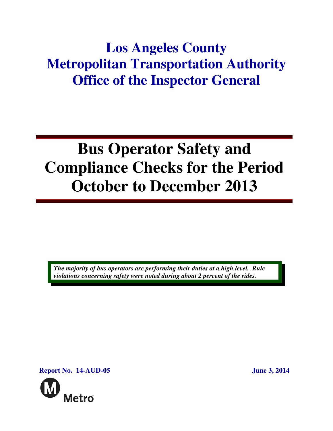## **Los Angeles County Metropolitan Transportation Authority Office of the Inspector General**

# **Bus Operator Safety and Compliance Checks for the Period October to December 2013**

*The majority of bus operators are performing their duties at a high level. Rule violations concerning safety were noted during about 2 percent of the rides.* 

**Report No. 14-AUD-05 June 3, 2014** 

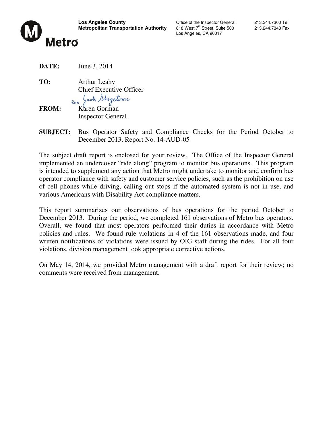

Los Angeles, CA 90017

**DATE:** June 3, 2014

**TO:** Arthur Leahy Chief Executive Officer<br>for Jack Shegetonic

**FROM:** Karen Gorman Inspector General

**SUBJECT:** Bus Operator Safety and Compliance Checks for the Period October to December 2013, Report No. 14-AUD-05

The subject draft report is enclosed for your review. The Office of the Inspector General implemented an undercover "ride along" program to monitor bus operations. This program is intended to supplement any action that Metro might undertake to monitor and confirm bus operator compliance with safety and customer service policies, such as the prohibition on use of cell phones while driving, calling out stops if the automated system is not in use, and various Americans with Disability Act compliance matters.

This report summarizes our observations of bus operations for the period October to December 2013. During the period, we completed 161 observations of Metro bus operators. Overall, we found that most operators performed their duties in accordance with Metro policies and rules. We found rule violations in 4 of the 161 observations made, and four written notifications of violations were issued by OIG staff during the rides. For all four violations, division management took appropriate corrective actions.

On May 14, 2014, we provided Metro management with a draft report for their review; no comments were received from management.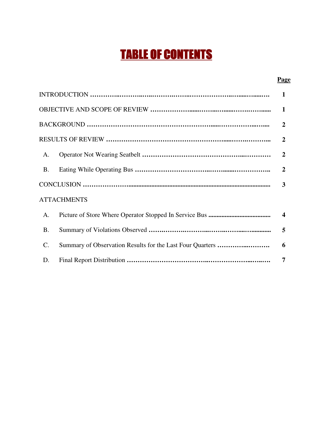## **TABLE OF CONTENTS**

#### **Page**

| 1                  |  |                         |  |  |  |  |
|--------------------|--|-------------------------|--|--|--|--|
|                    |  |                         |  |  |  |  |
|                    |  |                         |  |  |  |  |
| $\overline{2}$     |  |                         |  |  |  |  |
| A.                 |  | $\overline{2}$          |  |  |  |  |
| <b>B.</b>          |  | $\overline{2}$          |  |  |  |  |
|                    |  |                         |  |  |  |  |
| <b>ATTACHMENTS</b> |  |                         |  |  |  |  |
| A.                 |  | $\overline{\mathbf{4}}$ |  |  |  |  |
| <b>B.</b>          |  | 5                       |  |  |  |  |
| $\mathcal{C}$ .    |  | 6                       |  |  |  |  |
| D.                 |  | 7                       |  |  |  |  |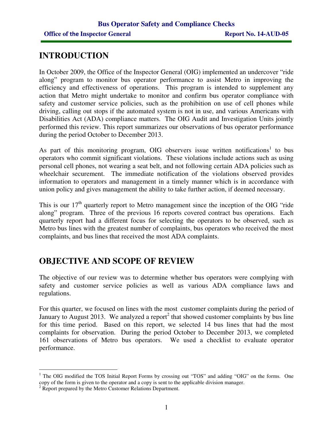## **INTRODUCTION**

In October 2009, the Office of the Inspector General (OIG) implemented an undercover "ride along" program to monitor bus operator performance to assist Metro in improving the efficiency and effectiveness of operations. This program is intended to supplement any action that Metro might undertake to monitor and confirm bus operator compliance with safety and customer service policies, such as the prohibition on use of cell phones while driving, calling out stops if the automated system is not in use, and various Americans with Disabilities Act (ADA) compliance matters. The OIG Audit and Investigation Units jointly performed this review. This report summarizes our observations of bus operator performance during the period October to December 2013.

As part of this monitoring program, OIG observers issue written notifications<sup>1</sup> to bus operators who commit significant violations. These violations include actions such as using personal cell phones, not wearing a seat belt, and not following certain ADA policies such as wheelchair securement. The immediate notification of the violations observed provides information to operators and management in a timely manner which is in accordance with union policy and gives management the ability to take further action, if deemed necessary.

This is our  $17<sup>th</sup>$  quarterly report to Metro management since the inception of the OIG "ride" along" program. Three of the previous 16 reports covered contract bus operations. Each quarterly report had a different focus for selecting the operators to be observed, such as Metro bus lines with the greatest number of complaints, bus operators who received the most complaints, and bus lines that received the most ADA complaints.

## **OBJECTIVE AND SCOPE OF REVIEW**

The objective of our review was to determine whether bus operators were complying with safety and customer service policies as well as various ADA compliance laws and regulations.

For this quarter, we focused on lines with the most customer complaints during the period of January to August 2013. We analyzed a report<sup>2</sup> that showed customer complaints by bus line for this time period. Based on this report, we selected 14 bus lines that had the most complaints for observation. During the period October to December 2013, we completed 161 observations of Metro bus operators. We used a checklist to evaluate operator performance.

<sup>&</sup>lt;sup>1</sup> The OIG modified the TOS Initial Report Forms by crossing out "TOS" and adding "OIG" on the forms. One copy of the form is given to the operator and a copy is sent to the applicable division manager.

<sup>&</sup>lt;sup>2</sup> Report prepared by the Metro Customer Relations Department.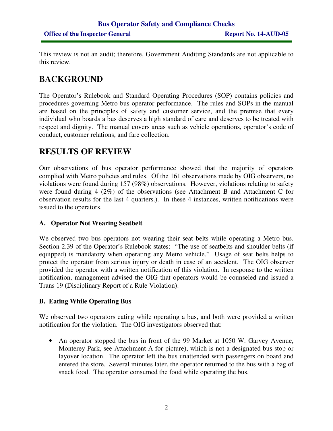This review is not an audit; therefore, Government Auditing Standards are not applicable to this review.

## **BACKGROUND**

The Operator's Rulebook and Standard Operating Procedures (SOP) contains policies and procedures governing Metro bus operator performance. The rules and SOPs in the manual are based on the principles of safety and customer service, and the premise that every individual who boards a bus deserves a high standard of care and deserves to be treated with respect and dignity. The manual covers areas such as vehicle operations, operator's code of conduct, customer relations, and fare collection.

## **RESULTS OF REVIEW**

Our observations of bus operator performance showed that the majority of operators complied with Metro policies and rules. Of the 161 observations made by OIG observers, no violations were found during 157 (98%) observations. However, violations relating to safety were found during 4 (2%) of the observations (see Attachment B and Attachment C for observation results for the last 4 quarters.). In these 4 instances, written notifications were issued to the operators.

#### **A. Operator Not Wearing Seatbelt**

We observed two bus operators not wearing their seat belts while operating a Metro bus. Section 2.39 of the Operator's Rulebook states: "The use of seatbelts and shoulder belts (if equipped) is mandatory when operating any Metro vehicle." Usage of seat belts helps to protect the operator from serious injury or death in case of an accident. The OIG observer provided the operator with a written notification of this violation. In response to the written notification, management advised the OIG that operators would be counseled and issued a Trans 19 (Disciplinary Report of a Rule Violation).

#### **B. Eating While Operating Bus**

We observed two operators eating while operating a bus, and both were provided a written notification for the violation. The OIG investigators observed that:

• An operator stopped the bus in front of the 99 Market at 1050 W. Garvey Avenue, Monterey Park, see Attachment A for picture), which is not a designated bus stop or layover location. The operator left the bus unattended with passengers on board and entered the store. Several minutes later, the operator returned to the bus with a bag of snack food. The operator consumed the food while operating the bus.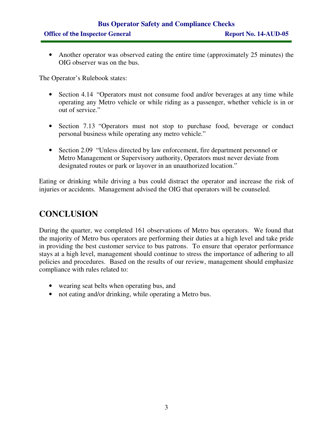## **Bus Operator Safety and Compliance Checks**  Office of the Inspector General Report No. 14-AUD-05

• Another operator was observed eating the entire time (approximately 25 minutes) the OIG observer was on the bus.

The Operator's Rulebook states:

- Section 4.14 "Operators must not consume food and/or beverages at any time while operating any Metro vehicle or while riding as a passenger, whether vehicle is in or out of service."
- Section 7.13 "Operators must not stop to purchase food, beverage or conduct personal business while operating any metro vehicle."
- Section 2.09 "Unless directed by law enforcement, fire department personnel or Metro Management or Supervisory authority, Operators must never deviate from designated routes or park or layover in an unauthorized location."

Eating or drinking while driving a bus could distract the operator and increase the risk of injuries or accidents. Management advised the OIG that operators will be counseled.

### **CONCLUSION**

During the quarter, we completed 161 observations of Metro bus operators. We found that the majority of Metro bus operators are performing their duties at a high level and take pride in providing the best customer service to bus patrons. To ensure that operator performance stays at a high level, management should continue to stress the importance of adhering to all policies and procedures. Based on the results of our review, management should emphasize compliance with rules related to:

- wearing seat belts when operating bus, and
- not eating and/or drinking, while operating a Metro bus.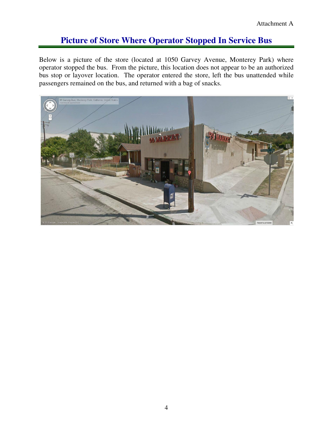## **Picture of Store Where Operator Stopped In Service Bus**

Below is a picture of the store (located at 1050 Garvey Avenue, Monterey Park) where operator stopped the bus. From the picture, this location does not appear to be an authorized bus stop or layover location. The operator entered the store, left the bus unattended while passengers remained on the bus, and returned with a bag of snacks.

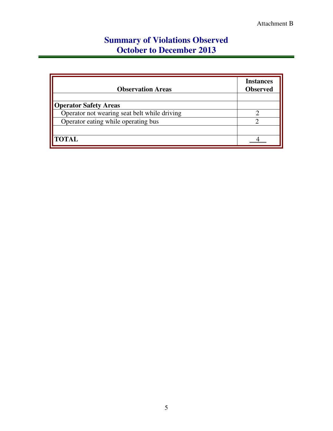## **Summary of Violations Observed October to December 2013**

| <b>Observation Areas</b>                     | <b>Instances</b><br><b>Observed</b> |
|----------------------------------------------|-------------------------------------|
| <b>Operator Safety Areas</b>                 |                                     |
| Operator not wearing seat belt while driving |                                     |
| Operator eating while operating bus          |                                     |
|                                              |                                     |
| <b>TOTAL</b>                                 |                                     |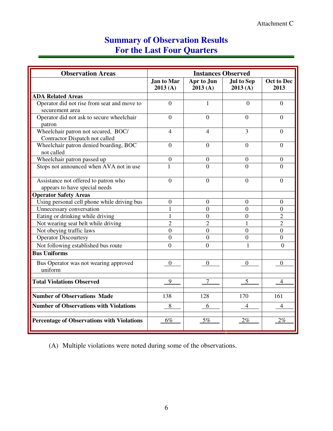## **Summary of Observation Results For the Last Four Quarters**

| <b>Observation Areas</b>                          | <b>Instances Observed</b> |                       |                              |                    |
|---------------------------------------------------|---------------------------|-----------------------|------------------------------|--------------------|
|                                                   | Jan to Mar<br>2013(A)     | Apr to Jun<br>2013(A) | <b>Jul to Sep</b><br>2013(A) | Oct to Dec<br>2013 |
| <b>ADA Related Areas</b>                          |                           |                       |                              |                    |
| Operator did not rise from seat and move to       | $\overline{0}$            | $\mathbf{1}$          | $\overline{0}$               | $\overline{0}$     |
| securement area                                   |                           |                       |                              |                    |
| Operator did not ask to secure wheelchair         | $\overline{0}$            | $\theta$              | $\overline{0}$               | $\overline{0}$     |
| patron                                            |                           |                       |                              |                    |
| Wheelchair patron not secured, BOC/               | $\overline{4}$            | $\overline{4}$        | 3                            | $\Omega$           |
| Contractor Dispatch not called                    |                           |                       |                              |                    |
| Wheelchair patron denied boarding, BOC            | $\overline{0}$            | $\overline{0}$        | $\boldsymbol{0}$             | $\boldsymbol{0}$   |
| not called                                        |                           |                       |                              |                    |
| Wheelchair patron passed up                       | $\boldsymbol{0}$          | $\overline{0}$        | $\theta$                     | $\theta$           |
| Stops not announced when AVA not in use           | $\mathbf{1}$              | $\Omega$              | $\Omega$                     | $\Omega$           |
| Assistance not offered to patron who              | $\theta$                  | $\overline{0}$        | $\overline{0}$               | $\overline{0}$     |
| appears to have special needs                     |                           |                       |                              |                    |
| <b>Operator Safety Areas</b>                      |                           |                       |                              |                    |
| Using personal cell phone while driving bus       | $\overline{0}$            | $\Omega$              | $\Omega$                     | $\Omega$           |
| Unnecessary conversation                          |                           | $\Omega$              | $\overline{0}$               | $\overline{0}$     |
| Eating or drinking while driving                  | 1                         | $\overline{0}$        | $\overline{0}$               | $\overline{2}$     |
| Not wearing seat belt while driving               | $\overline{2}$            | $\overline{2}$        | 1                            | $\overline{2}$     |
| Not obeying traffic laws                          | $\overline{0}$            | $\overline{0}$        | $\overline{0}$               | $\theta$           |
| <b>Operator Discourtesy</b>                       | $\overline{0}$            | $\Omega$              | $\overline{0}$               | $\overline{0}$     |
| Not following established bus route               | $\overline{0}$            | $\Omega$              | 1                            | $\Omega$           |
| <b>Bus Uniforms</b>                               |                           |                       |                              |                    |
| Bus Operator was not wearing approved             | $\mathbf{0}$              | $\overline{0}$        | $\overline{0}$               | $\boldsymbol{0}$   |
| uniform                                           |                           |                       |                              |                    |
| <b>Total Violations Observed</b>                  | 9                         | 7                     | 5                            | 4                  |
|                                                   |                           |                       |                              |                    |
| <b>Number of Observations Made</b>                | 138                       | 128                   | 170                          | 161                |
| <b>Number of Observations with Violations</b>     | 8                         | 6                     | 4                            | 4                  |
| <b>Percentage of Observations with Violations</b> | 6%                        | 5%                    | 2%                           | $2\%$              |
|                                                   |                           |                       |                              |                    |

(A) Multiple violations were noted during some of the observations.